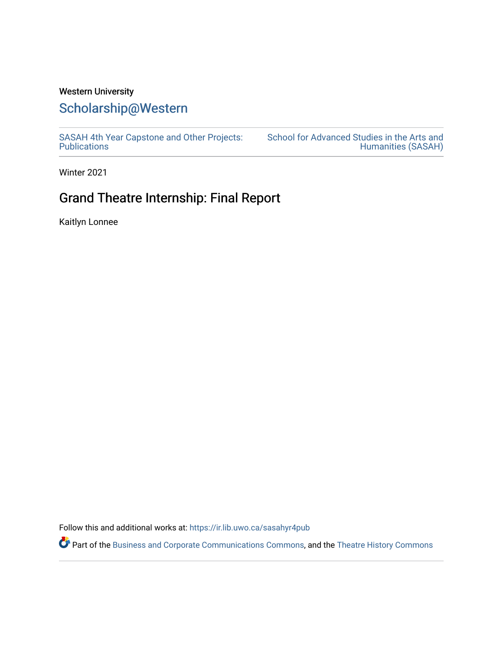# Western University

# [Scholarship@Western](https://ir.lib.uwo.ca/)

[SASAH 4th Year Capstone and Other Projects:](https://ir.lib.uwo.ca/sasahyr4pub)  **Publications** 

[School for Advanced Studies in the Arts and](https://ir.lib.uwo.ca/sasah)  [Humanities \(SASAH\)](https://ir.lib.uwo.ca/sasah) 

Winter 2021

# Grand Theatre Internship: Final Report

Kaitlyn Lonnee

Follow this and additional works at: [https://ir.lib.uwo.ca/sasahyr4pub](https://ir.lib.uwo.ca/sasahyr4pub?utm_source=ir.lib.uwo.ca%2Fsasahyr4pub%2F34&utm_medium=PDF&utm_campaign=PDFCoverPages) 

Part of the [Business and Corporate Communications Commons](http://network.bepress.com/hgg/discipline/627?utm_source=ir.lib.uwo.ca%2Fsasahyr4pub%2F34&utm_medium=PDF&utm_campaign=PDFCoverPages), and the [Theatre History Commons](http://network.bepress.com/hgg/discipline/553?utm_source=ir.lib.uwo.ca%2Fsasahyr4pub%2F34&utm_medium=PDF&utm_campaign=PDFCoverPages)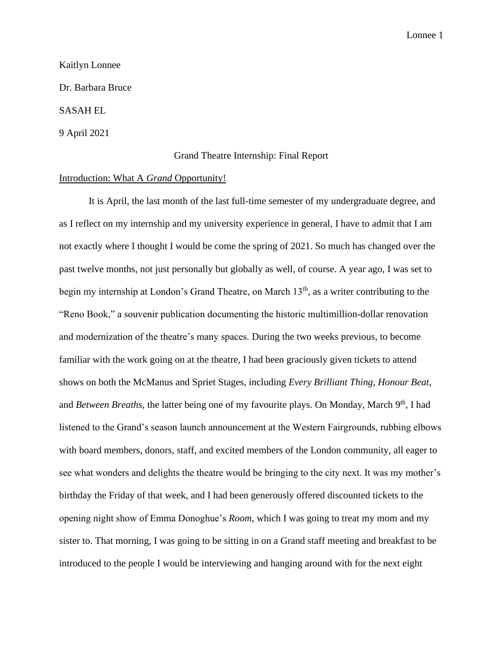#### Kaitlyn Lonnee

Dr. Barbara Bruce

# SASAH EL

#### 9 April 2021

#### Grand Theatre Internship: Final Report

#### Introduction: What A *Grand* Opportunity!

It is April, the last month of the last full-time semester of my undergraduate degree, and as I reflect on my internship and my university experience in general, I have to admit that I am not exactly where I thought I would be come the spring of 2021. So much has changed over the past twelve months, not just personally but globally as well, of course. A year ago, I was set to begin my internship at London's Grand Theatre, on March  $13<sup>th</sup>$ , as a writer contributing to the "Reno Book," a souvenir publication documenting the historic multimillion-dollar renovation and modernization of the theatre's many spaces. During the two weeks previous, to become familiar with the work going on at the theatre, I had been graciously given tickets to attend shows on both the McManus and Spriet Stages, including *Every Brilliant Thing*, *Honour Beat*, and *Between Breaths*, the latter being one of my favourite plays. On Monday, March 9<sup>th</sup>, I had listened to the Grand's season launch announcement at the Western Fairgrounds, rubbing elbows with board members, donors, staff, and excited members of the London community, all eager to see what wonders and delights the theatre would be bringing to the city next. It was my mother's birthday the Friday of that week, and I had been generously offered discounted tickets to the opening night show of Emma Donoghue's *Room*, which I was going to treat my mom and my sister to. That morning, I was going to be sitting in on a Grand staff meeting and breakfast to be introduced to the people I would be interviewing and hanging around with for the next eight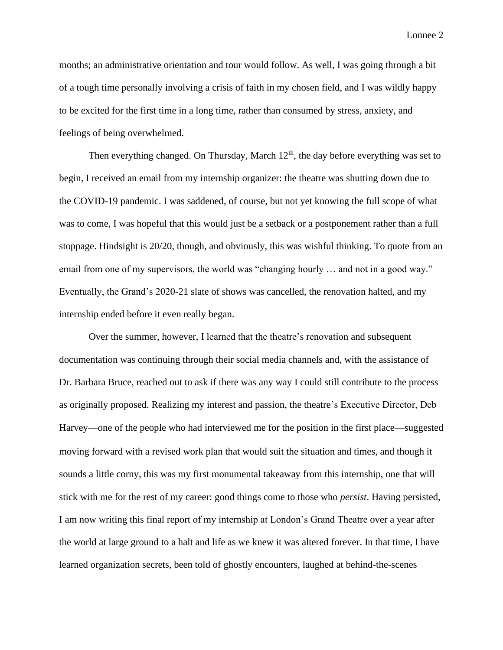months; an administrative orientation and tour would follow. As well, I was going through a bit of a tough time personally involving a crisis of faith in my chosen field, and I was wildly happy to be excited for the first time in a long time, rather than consumed by stress, anxiety, and feelings of being overwhelmed.

Then everything changed. On Thursday, March  $12<sup>th</sup>$ , the day before everything was set to begin, I received an email from my internship organizer: the theatre was shutting down due to the COVID-19 pandemic. I was saddened, of course, but not yet knowing the full scope of what was to come, I was hopeful that this would just be a setback or a postponement rather than a full stoppage. Hindsight is 20/20, though, and obviously, this was wishful thinking. To quote from an email from one of my supervisors, the world was "changing hourly ... and not in a good way." Eventually, the Grand's 2020-21 slate of shows was cancelled, the renovation halted, and my internship ended before it even really began.

Over the summer, however, I learned that the theatre's renovation and subsequent documentation was continuing through their social media channels and, with the assistance of Dr. Barbara Bruce, reached out to ask if there was any way I could still contribute to the process as originally proposed. Realizing my interest and passion, the theatre's Executive Director, Deb Harvey—one of the people who had interviewed me for the position in the first place—suggested moving forward with a revised work plan that would suit the situation and times, and though it sounds a little corny, this was my first monumental takeaway from this internship, one that will stick with me for the rest of my career: good things come to those who *persist*. Having persisted, I am now writing this final report of my internship at London's Grand Theatre over a year after the world at large ground to a halt and life as we knew it was altered forever. In that time, I have learned organization secrets, been told of ghostly encounters, laughed at behind-the-scenes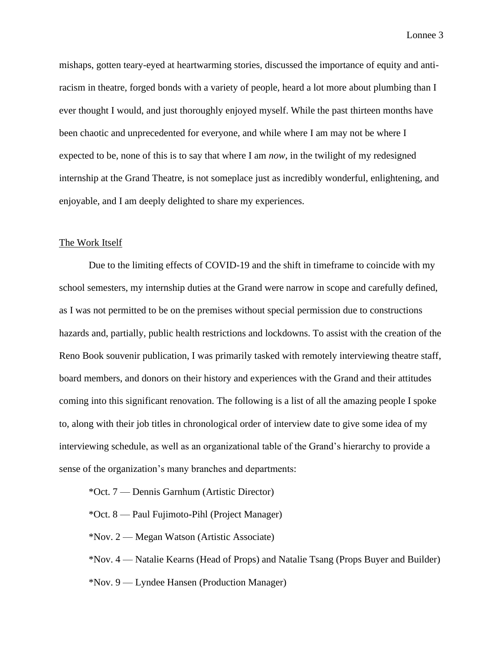mishaps, gotten teary-eyed at heartwarming stories, discussed the importance of equity and antiracism in theatre, forged bonds with a variety of people, heard a lot more about plumbing than I ever thought I would, and just thoroughly enjoyed myself. While the past thirteen months have been chaotic and unprecedented for everyone, and while where I am may not be where I expected to be, none of this is to say that where I am *now*, in the twilight of my redesigned internship at the Grand Theatre, is not someplace just as incredibly wonderful, enlightening, and enjoyable, and I am deeply delighted to share my experiences.

#### The Work Itself

Due to the limiting effects of COVID-19 and the shift in timeframe to coincide with my school semesters, my internship duties at the Grand were narrow in scope and carefully defined, as I was not permitted to be on the premises without special permission due to constructions hazards and, partially, public health restrictions and lockdowns. To assist with the creation of the Reno Book souvenir publication, I was primarily tasked with remotely interviewing theatre staff, board members, and donors on their history and experiences with the Grand and their attitudes coming into this significant renovation. The following is a list of all the amazing people I spoke to, along with their job titles in chronological order of interview date to give some idea of my interviewing schedule, as well as an organizational table of the Grand's hierarchy to provide a sense of the organization's many branches and departments:

\*Oct. 7 — Dennis Garnhum (Artistic Director)

\*Oct. 8 — Paul Fujimoto-Pihl (Project Manager)

\*Nov. 2 — Megan Watson (Artistic Associate)

\*Nov. 4 — Natalie Kearns (Head of Props) and Natalie Tsang (Props Buyer and Builder)

\*Nov. 9 — Lyndee Hansen (Production Manager)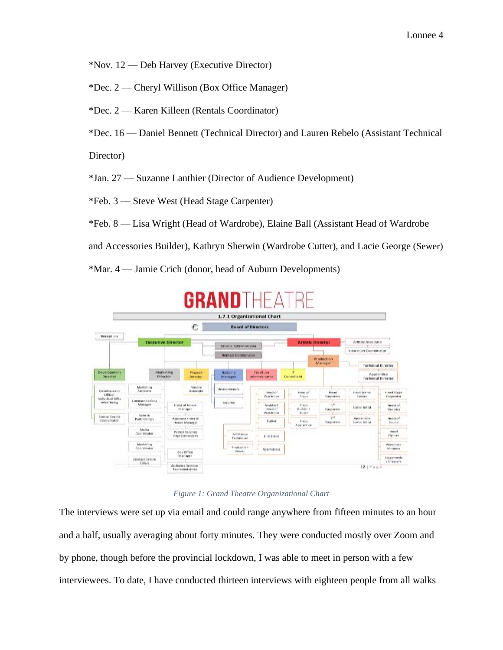\*Nov. 12 — Deb Harvey (Executive Director)

\*Dec. 2 — Cheryl Willison (Box Office Manager)

\*Dec. 2 — Karen Killeen (Rentals Coordinator)

\*Dec. 16 — Daniel Bennett (Technical Director) and Lauren Rebelo (Assistant Technical

Director)

\*Jan. 27 — Suzanne Lanthier (Director of Audience Development)

\*Feb. 3 — Steve West (Head Stage Carpenter)

\*Feb. 8 — Lisa Wright (Head of Wardrobe), Elaine Ball (Assistant Head of Wardrobe

and Accessories Builder), Kathryn Sherwin (Wardrobe Cutter), and Lacie George (Sewer)

\*Mar. 4 — Jamie Crich (donor, head of Auburn Developments)



# *Figure 1: Grand Theatre Organizational Chart*

The interviews were set up via email and could range anywhere from fifteen minutes to an hour and a half, usually averaging about forty minutes. They were conducted mostly over Zoom and by phone, though before the provincial lockdown, I was able to meet in person with a few interviewees. To date, I have conducted thirteen interviews with eighteen people from all walks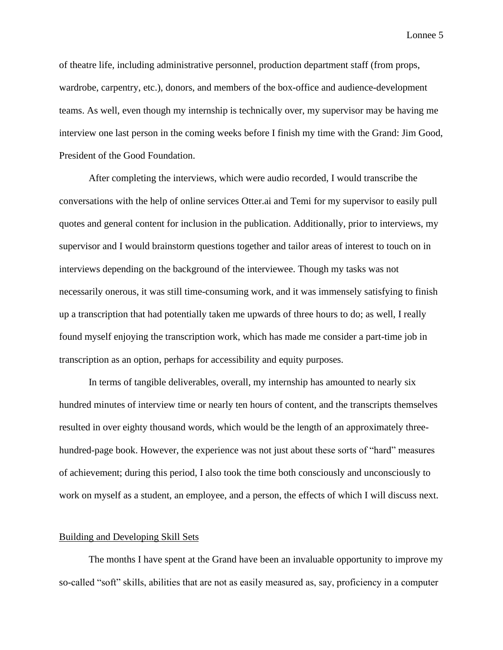of theatre life, including administrative personnel, production department staff (from props, wardrobe, carpentry, etc.), donors, and members of the box-office and audience-development teams. As well, even though my internship is technically over, my supervisor may be having me interview one last person in the coming weeks before I finish my time with the Grand: Jim Good, President of the Good Foundation.

After completing the interviews, which were audio recorded, I would transcribe the conversations with the help of online services Otter.ai and Temi for my supervisor to easily pull quotes and general content for inclusion in the publication. Additionally, prior to interviews, my supervisor and I would brainstorm questions together and tailor areas of interest to touch on in interviews depending on the background of the interviewee. Though my tasks was not necessarily onerous, it was still time-consuming work, and it was immensely satisfying to finish up a transcription that had potentially taken me upwards of three hours to do; as well, I really found myself enjoying the transcription work, which has made me consider a part-time job in transcription as an option, perhaps for accessibility and equity purposes.

In terms of tangible deliverables, overall, my internship has amounted to nearly six hundred minutes of interview time or nearly ten hours of content, and the transcripts themselves resulted in over eighty thousand words, which would be the length of an approximately threehundred-page book. However, the experience was not just about these sorts of "hard" measures of achievement; during this period, I also took the time both consciously and unconsciously to work on myself as a student, an employee, and a person, the effects of which I will discuss next.

# Building and Developing Skill Sets

The months I have spent at the Grand have been an invaluable opportunity to improve my so-called "soft" skills, abilities that are not as easily measured as, say, proficiency in a computer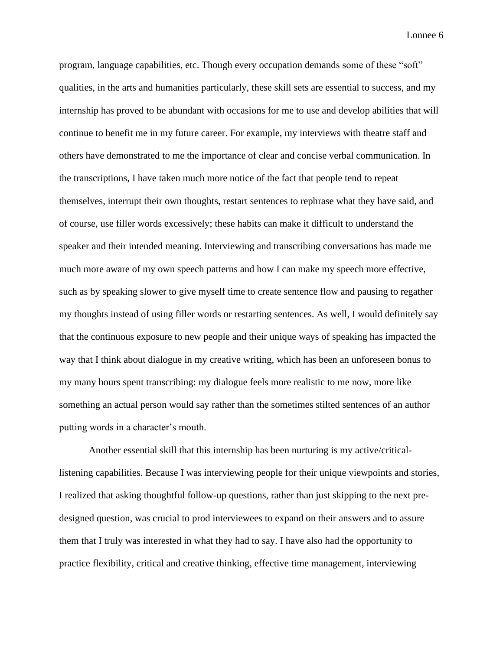program, language capabilities, etc. Though every occupation demands some of these "soft" qualities, in the arts and humanities particularly, these skill sets are essential to success, and my internship has proved to be abundant with occasions for me to use and develop abilities that will continue to benefit me in my future career. For example, my interviews with theatre staff and others have demonstrated to me the importance of clear and concise verbal communication. In the transcriptions, I have taken much more notice of the fact that people tend to repeat themselves, interrupt their own thoughts, restart sentences to rephrase what they have said, and of course, use filler words excessively; these habits can make it difficult to understand the speaker and their intended meaning. Interviewing and transcribing conversations has made me much more aware of my own speech patterns and how I can make my speech more effective, such as by speaking slower to give myself time to create sentence flow and pausing to regather my thoughts instead of using filler words or restarting sentences. As well, I would definitely say that the continuous exposure to new people and their unique ways of speaking has impacted the way that I think about dialogue in my creative writing, which has been an unforeseen bonus to my many hours spent transcribing: my dialogue feels more realistic to me now, more like something an actual person would say rather than the sometimes stilted sentences of an author putting words in a character's mouth.

Another essential skill that this internship has been nurturing is my active/criticallistening capabilities. Because I was interviewing people for their unique viewpoints and stories, I realized that asking thoughtful follow-up questions, rather than just skipping to the next predesigned question, was crucial to prod interviewees to expand on their answers and to assure them that I truly was interested in what they had to say. I have also had the opportunity to practice flexibility, critical and creative thinking, effective time management, interviewing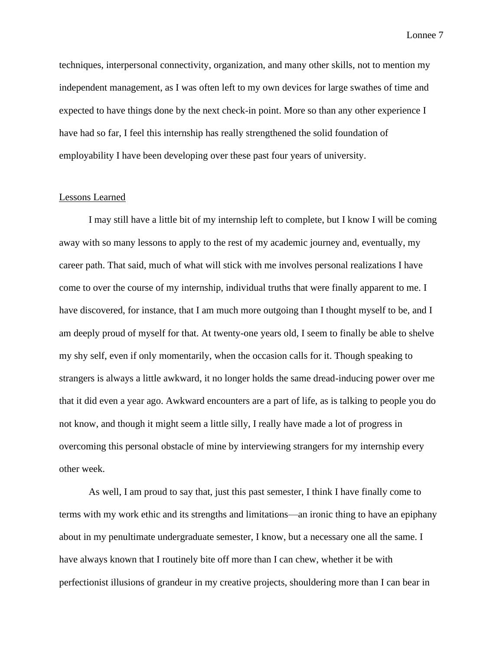techniques, interpersonal connectivity, organization, and many other skills, not to mention my independent management, as I was often left to my own devices for large swathes of time and expected to have things done by the next check-in point. More so than any other experience I have had so far, I feel this internship has really strengthened the solid foundation of employability I have been developing over these past four years of university.

# Lessons Learned

I may still have a little bit of my internship left to complete, but I know I will be coming away with so many lessons to apply to the rest of my academic journey and, eventually, my career path. That said, much of what will stick with me involves personal realizations I have come to over the course of my internship, individual truths that were finally apparent to me. I have discovered, for instance, that I am much more outgoing than I thought myself to be, and I am deeply proud of myself for that. At twenty-one years old, I seem to finally be able to shelve my shy self, even if only momentarily, when the occasion calls for it. Though speaking to strangers is always a little awkward, it no longer holds the same dread-inducing power over me that it did even a year ago. Awkward encounters are a part of life, as is talking to people you do not know, and though it might seem a little silly, I really have made a lot of progress in overcoming this personal obstacle of mine by interviewing strangers for my internship every other week.

As well, I am proud to say that, just this past semester, I think I have finally come to terms with my work ethic and its strengths and limitations—an ironic thing to have an epiphany about in my penultimate undergraduate semester, I know, but a necessary one all the same. I have always known that I routinely bite off more than I can chew, whether it be with perfectionist illusions of grandeur in my creative projects, shouldering more than I can bear in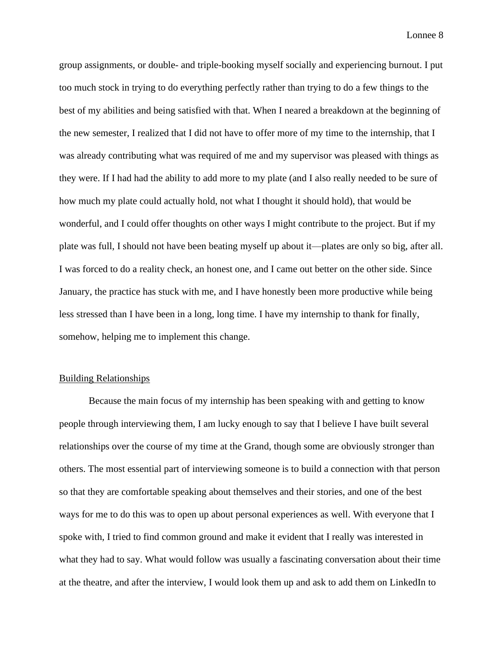group assignments, or double- and triple-booking myself socially and experiencing burnout. I put too much stock in trying to do everything perfectly rather than trying to do a few things to the best of my abilities and being satisfied with that. When I neared a breakdown at the beginning of the new semester, I realized that I did not have to offer more of my time to the internship, that I was already contributing what was required of me and my supervisor was pleased with things as they were. If I had had the ability to add more to my plate (and I also really needed to be sure of how much my plate could actually hold, not what I thought it should hold), that would be wonderful, and I could offer thoughts on other ways I might contribute to the project. But if my plate was full, I should not have been beating myself up about it—plates are only so big, after all. I was forced to do a reality check, an honest one, and I came out better on the other side. Since January, the practice has stuck with me, and I have honestly been more productive while being less stressed than I have been in a long, long time. I have my internship to thank for finally, somehow, helping me to implement this change.

## Building Relationships

Because the main focus of my internship has been speaking with and getting to know people through interviewing them, I am lucky enough to say that I believe I have built several relationships over the course of my time at the Grand, though some are obviously stronger than others. The most essential part of interviewing someone is to build a connection with that person so that they are comfortable speaking about themselves and their stories, and one of the best ways for me to do this was to open up about personal experiences as well. With everyone that I spoke with, I tried to find common ground and make it evident that I really was interested in what they had to say. What would follow was usually a fascinating conversation about their time at the theatre, and after the interview, I would look them up and ask to add them on LinkedIn to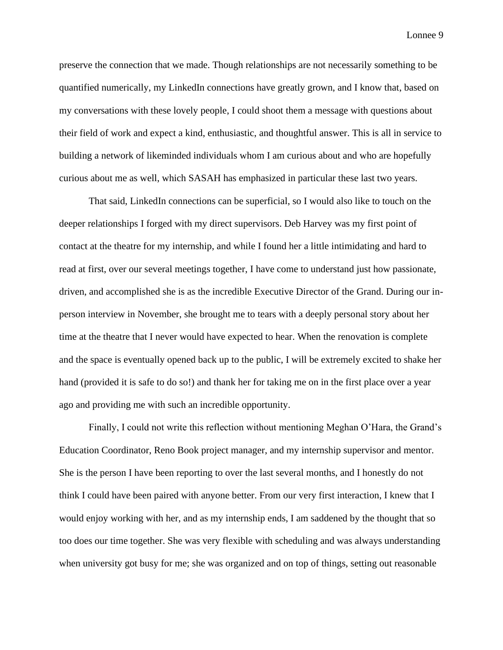preserve the connection that we made. Though relationships are not necessarily something to be quantified numerically, my LinkedIn connections have greatly grown, and I know that, based on my conversations with these lovely people, I could shoot them a message with questions about their field of work and expect a kind, enthusiastic, and thoughtful answer. This is all in service to building a network of likeminded individuals whom I am curious about and who are hopefully curious about me as well, which SASAH has emphasized in particular these last two years.

That said, LinkedIn connections can be superficial, so I would also like to touch on the deeper relationships I forged with my direct supervisors. Deb Harvey was my first point of contact at the theatre for my internship, and while I found her a little intimidating and hard to read at first, over our several meetings together, I have come to understand just how passionate, driven, and accomplished she is as the incredible Executive Director of the Grand. During our inperson interview in November, she brought me to tears with a deeply personal story about her time at the theatre that I never would have expected to hear. When the renovation is complete and the space is eventually opened back up to the public, I will be extremely excited to shake her hand (provided it is safe to do so!) and thank her for taking me on in the first place over a year ago and providing me with such an incredible opportunity.

Finally, I could not write this reflection without mentioning Meghan O'Hara, the Grand's Education Coordinator, Reno Book project manager, and my internship supervisor and mentor. She is the person I have been reporting to over the last several months, and I honestly do not think I could have been paired with anyone better. From our very first interaction, I knew that I would enjoy working with her, and as my internship ends, I am saddened by the thought that so too does our time together. She was very flexible with scheduling and was always understanding when university got busy for me; she was organized and on top of things, setting out reasonable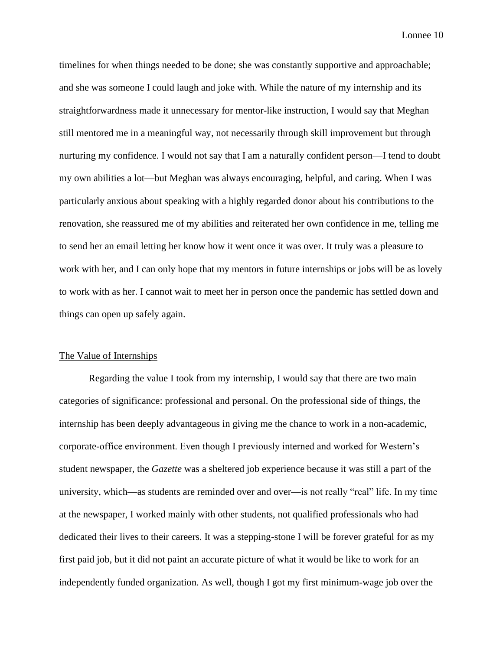timelines for when things needed to be done; she was constantly supportive and approachable; and she was someone I could laugh and joke with. While the nature of my internship and its straightforwardness made it unnecessary for mentor-like instruction, I would say that Meghan still mentored me in a meaningful way, not necessarily through skill improvement but through nurturing my confidence. I would not say that I am a naturally confident person—I tend to doubt my own abilities a lot—but Meghan was always encouraging, helpful, and caring. When I was particularly anxious about speaking with a highly regarded donor about his contributions to the renovation, she reassured me of my abilities and reiterated her own confidence in me, telling me to send her an email letting her know how it went once it was over. It truly was a pleasure to work with her, and I can only hope that my mentors in future internships or jobs will be as lovely to work with as her. I cannot wait to meet her in person once the pandemic has settled down and things can open up safely again.

#### The Value of Internships

Regarding the value I took from my internship, I would say that there are two main categories of significance: professional and personal. On the professional side of things, the internship has been deeply advantageous in giving me the chance to work in a non-academic, corporate-office environment. Even though I previously interned and worked for Western's student newspaper, the *Gazette* was a sheltered job experience because it was still a part of the university, which—as students are reminded over and over—is not really "real" life. In my time at the newspaper, I worked mainly with other students, not qualified professionals who had dedicated their lives to their careers. It was a stepping-stone I will be forever grateful for as my first paid job, but it did not paint an accurate picture of what it would be like to work for an independently funded organization. As well, though I got my first minimum-wage job over the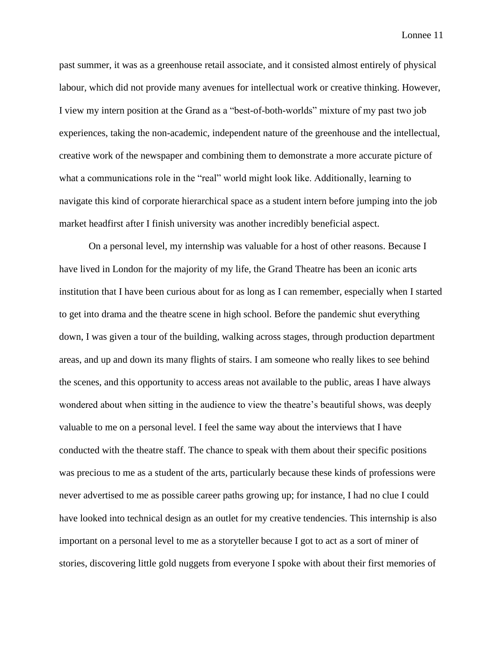past summer, it was as a greenhouse retail associate, and it consisted almost entirely of physical labour, which did not provide many avenues for intellectual work or creative thinking. However, I view my intern position at the Grand as a "best-of-both-worlds" mixture of my past two job experiences, taking the non-academic, independent nature of the greenhouse and the intellectual, creative work of the newspaper and combining them to demonstrate a more accurate picture of what a communications role in the "real" world might look like. Additionally, learning to navigate this kind of corporate hierarchical space as a student intern before jumping into the job market headfirst after I finish university was another incredibly beneficial aspect.

On a personal level, my internship was valuable for a host of other reasons. Because I have lived in London for the majority of my life, the Grand Theatre has been an iconic arts institution that I have been curious about for as long as I can remember, especially when I started to get into drama and the theatre scene in high school. Before the pandemic shut everything down, I was given a tour of the building, walking across stages, through production department areas, and up and down its many flights of stairs. I am someone who really likes to see behind the scenes, and this opportunity to access areas not available to the public, areas I have always wondered about when sitting in the audience to view the theatre's beautiful shows, was deeply valuable to me on a personal level. I feel the same way about the interviews that I have conducted with the theatre staff. The chance to speak with them about their specific positions was precious to me as a student of the arts, particularly because these kinds of professions were never advertised to me as possible career paths growing up; for instance, I had no clue I could have looked into technical design as an outlet for my creative tendencies. This internship is also important on a personal level to me as a storyteller because I got to act as a sort of miner of stories, discovering little gold nuggets from everyone I spoke with about their first memories of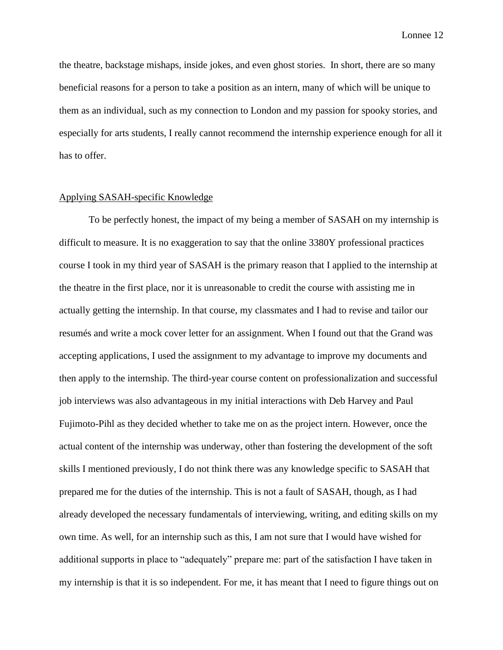the theatre, backstage mishaps, inside jokes, and even ghost stories. In short, there are so many beneficial reasons for a person to take a position as an intern, many of which will be unique to them as an individual, such as my connection to London and my passion for spooky stories, and especially for arts students, I really cannot recommend the internship experience enough for all it has to offer.

#### Applying SASAH-specific Knowledge

To be perfectly honest, the impact of my being a member of SASAH on my internship is difficult to measure. It is no exaggeration to say that the online 3380Y professional practices course I took in my third year of SASAH is the primary reason that I applied to the internship at the theatre in the first place, nor it is unreasonable to credit the course with assisting me in actually getting the internship. In that course, my classmates and I had to revise and tailor our resumés and write a mock cover letter for an assignment. When I found out that the Grand was accepting applications, I used the assignment to my advantage to improve my documents and then apply to the internship. The third-year course content on professionalization and successful job interviews was also advantageous in my initial interactions with Deb Harvey and Paul Fujimoto-Pihl as they decided whether to take me on as the project intern. However, once the actual content of the internship was underway, other than fostering the development of the soft skills I mentioned previously, I do not think there was any knowledge specific to SASAH that prepared me for the duties of the internship. This is not a fault of SASAH, though, as I had already developed the necessary fundamentals of interviewing, writing, and editing skills on my own time. As well, for an internship such as this, I am not sure that I would have wished for additional supports in place to "adequately" prepare me: part of the satisfaction I have taken in my internship is that it is so independent. For me, it has meant that I need to figure things out on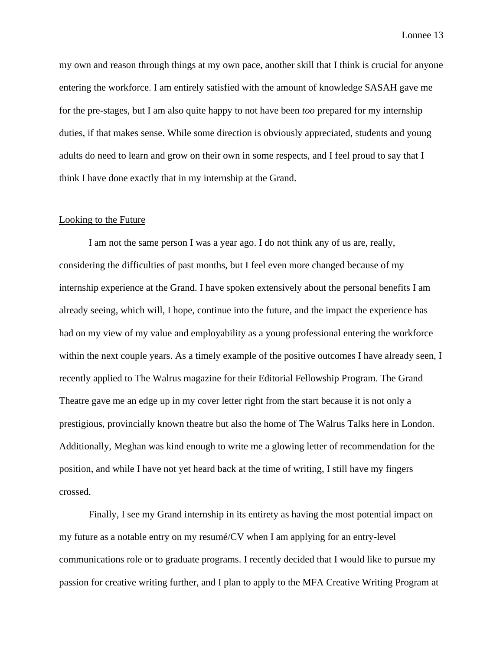my own and reason through things at my own pace, another skill that I think is crucial for anyone entering the workforce. I am entirely satisfied with the amount of knowledge SASAH gave me for the pre-stages, but I am also quite happy to not have been *too* prepared for my internship duties, if that makes sense. While some direction is obviously appreciated, students and young adults do need to learn and grow on their own in some respects, and I feel proud to say that I think I have done exactly that in my internship at the Grand.

### Looking to the Future

I am not the same person I was a year ago. I do not think any of us are, really, considering the difficulties of past months, but I feel even more changed because of my internship experience at the Grand. I have spoken extensively about the personal benefits I am already seeing, which will, I hope, continue into the future, and the impact the experience has had on my view of my value and employability as a young professional entering the workforce within the next couple years. As a timely example of the positive outcomes I have already seen, I recently applied to The Walrus magazine for their Editorial Fellowship Program. The Grand Theatre gave me an edge up in my cover letter right from the start because it is not only a prestigious, provincially known theatre but also the home of The Walrus Talks here in London. Additionally, Meghan was kind enough to write me a glowing letter of recommendation for the position, and while I have not yet heard back at the time of writing, I still have my fingers crossed.

Finally, I see my Grand internship in its entirety as having the most potential impact on my future as a notable entry on my resumé/CV when I am applying for an entry-level communications role or to graduate programs. I recently decided that I would like to pursue my passion for creative writing further, and I plan to apply to the MFA Creative Writing Program at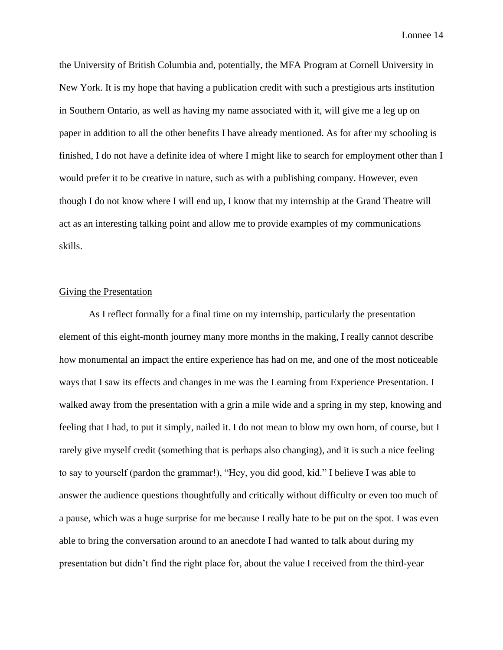the University of British Columbia and, potentially, the MFA Program at Cornell University in New York. It is my hope that having a publication credit with such a prestigious arts institution in Southern Ontario, as well as having my name associated with it, will give me a leg up on paper in addition to all the other benefits I have already mentioned. As for after my schooling is finished, I do not have a definite idea of where I might like to search for employment other than I would prefer it to be creative in nature, such as with a publishing company. However, even though I do not know where I will end up, I know that my internship at the Grand Theatre will act as an interesting talking point and allow me to provide examples of my communications skills.

# Giving the Presentation

As I reflect formally for a final time on my internship, particularly the presentation element of this eight-month journey many more months in the making, I really cannot describe how monumental an impact the entire experience has had on me, and one of the most noticeable ways that I saw its effects and changes in me was the Learning from Experience Presentation. I walked away from the presentation with a grin a mile wide and a spring in my step, knowing and feeling that I had, to put it simply, nailed it. I do not mean to blow my own horn, of course, but I rarely give myself credit (something that is perhaps also changing), and it is such a nice feeling to say to yourself (pardon the grammar!), "Hey, you did good, kid." I believe I was able to answer the audience questions thoughtfully and critically without difficulty or even too much of a pause, which was a huge surprise for me because I really hate to be put on the spot. I was even able to bring the conversation around to an anecdote I had wanted to talk about during my presentation but didn't find the right place for, about the value I received from the third-year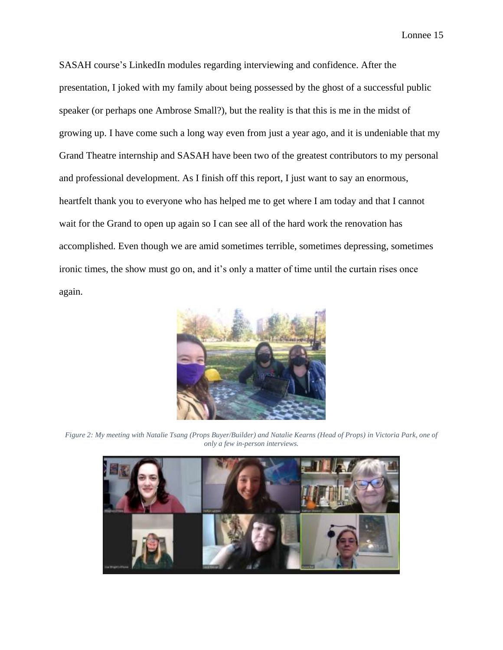SASAH course's LinkedIn modules regarding interviewing and confidence. After the presentation, I joked with my family about being possessed by the ghost of a successful public speaker (or perhaps one Ambrose Small?), but the reality is that this is me in the midst of growing up. I have come such a long way even from just a year ago, and it is undeniable that my Grand Theatre internship and SASAH have been two of the greatest contributors to my personal and professional development. As I finish off this report, I just want to say an enormous, heartfelt thank you to everyone who has helped me to get where I am today and that I cannot wait for the Grand to open up again so I can see all of the hard work the renovation has accomplished. Even though we are amid sometimes terrible, sometimes depressing, sometimes ironic times, the show must go on, and it's only a matter of time until the curtain rises once again.



*Figure 2: My meeting with Natalie Tsang (Props Buyer/Builder) and Natalie Kearns (Head of Props) in Victoria Park, one of only a few in-person interviews.*